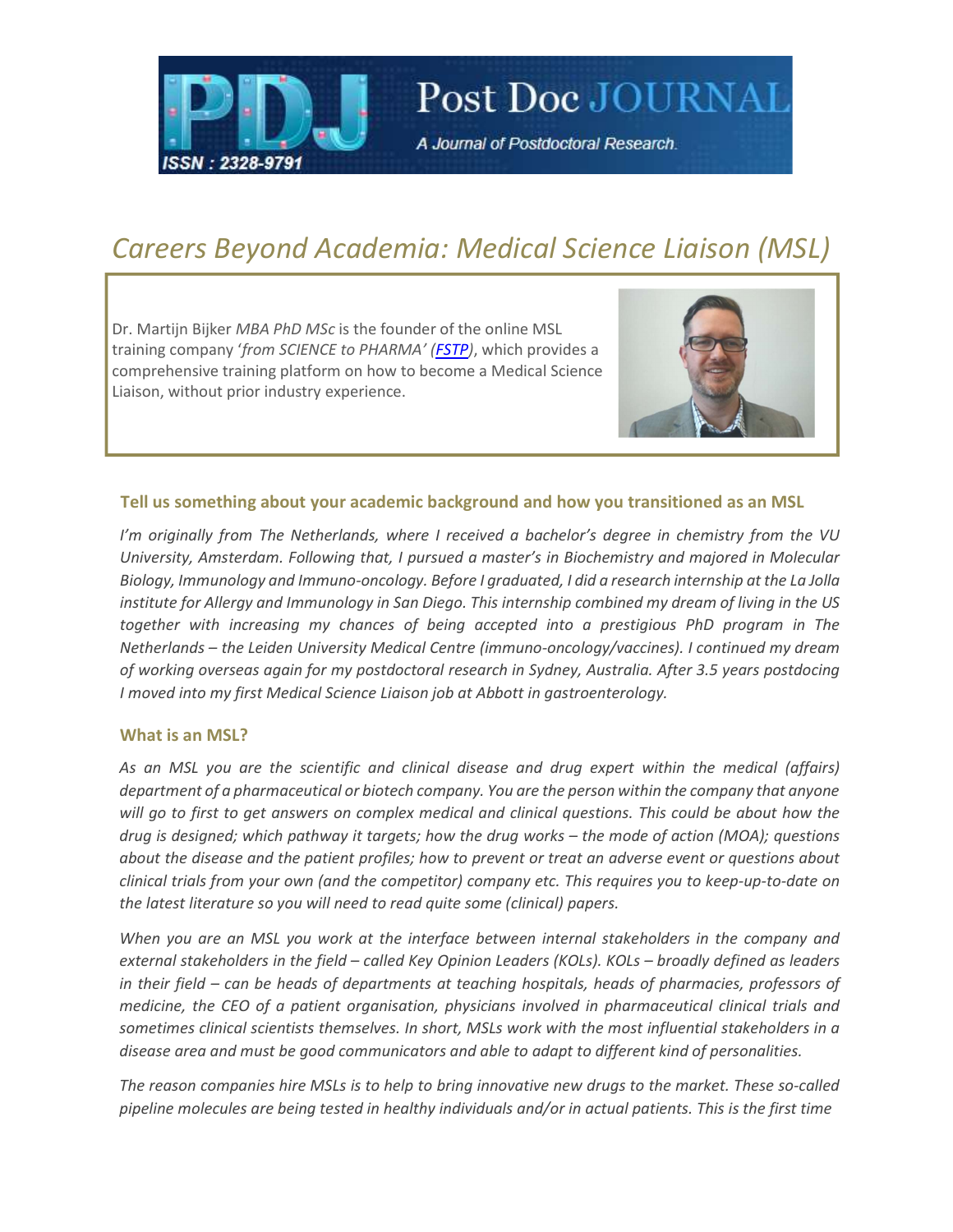

# Careers Beyond Academia: Medical Science Liaison (MSL)

Post Doc JOURNAL

A Journal of Postdoctoral Research.

Dr. Martijn Bijker MBA PhD MSc is the founder of the online MSL training company 'from SCIENCE to PHARMA' (FSTP), which provides a comprehensive training platform on how to become a Medical Science Liaison, without prior industry experience.



#### Tell us something about your academic background and how you transitioned as an MSL

I'm originally from The Netherlands, where I received a bachelor's degree in chemistry from the VU University, Amsterdam. Following that, I pursued a master's in Biochemistry and majored in Molecular Biology, Immunology and Immuno-oncology. Before I graduated, I did a research internship at the La Jolla institute for Allergy and Immunology in San Diego. This internship combined my dream of living in the US together with increasing my chances of being accepted into a prestigious PhD program in The Netherlands – the Leiden University Medical Centre (immuno-oncology/vaccines). I continued my dream of working overseas again for my postdoctoral research in Sydney, Australia. After 3.5 years postdocing I moved into my first Medical Science Liaison job at Abbott in gastroenterology.

#### What is an MSL?

As an MSL you are the scientific and clinical disease and drug expert within the medical (affairs) department of a pharmaceutical or biotech company. You are the person within the company that anyone will go to first to get answers on complex medical and clinical questions. This could be about how the drug is designed; which pathway it targets; how the drug works – the mode of action (MOA); questions about the disease and the patient profiles; how to prevent or treat an adverse event or questions about clinical trials from your own (and the competitor) company etc. This requires you to keep-up-to-date on the latest literature so you will need to read quite some (clinical) papers.

When you are an MSL you work at the interface between internal stakeholders in the company and external stakeholders in the field – called Key Opinion Leaders (KOLs). KOLs – broadly defined as leaders in their field – can be heads of departments at teaching hospitals, heads of pharmacies, professors of medicine, the CEO of a patient organisation, physicians involved in pharmaceutical clinical trials and sometimes clinical scientists themselves. In short, MSLs work with the most influential stakeholders in a disease area and must be good communicators and able to adapt to different kind of personalities.

The reason companies hire MSLs is to help to bring innovative new drugs to the market. These so-called pipeline molecules are being tested in healthy individuals and/or in actual patients. This is the first time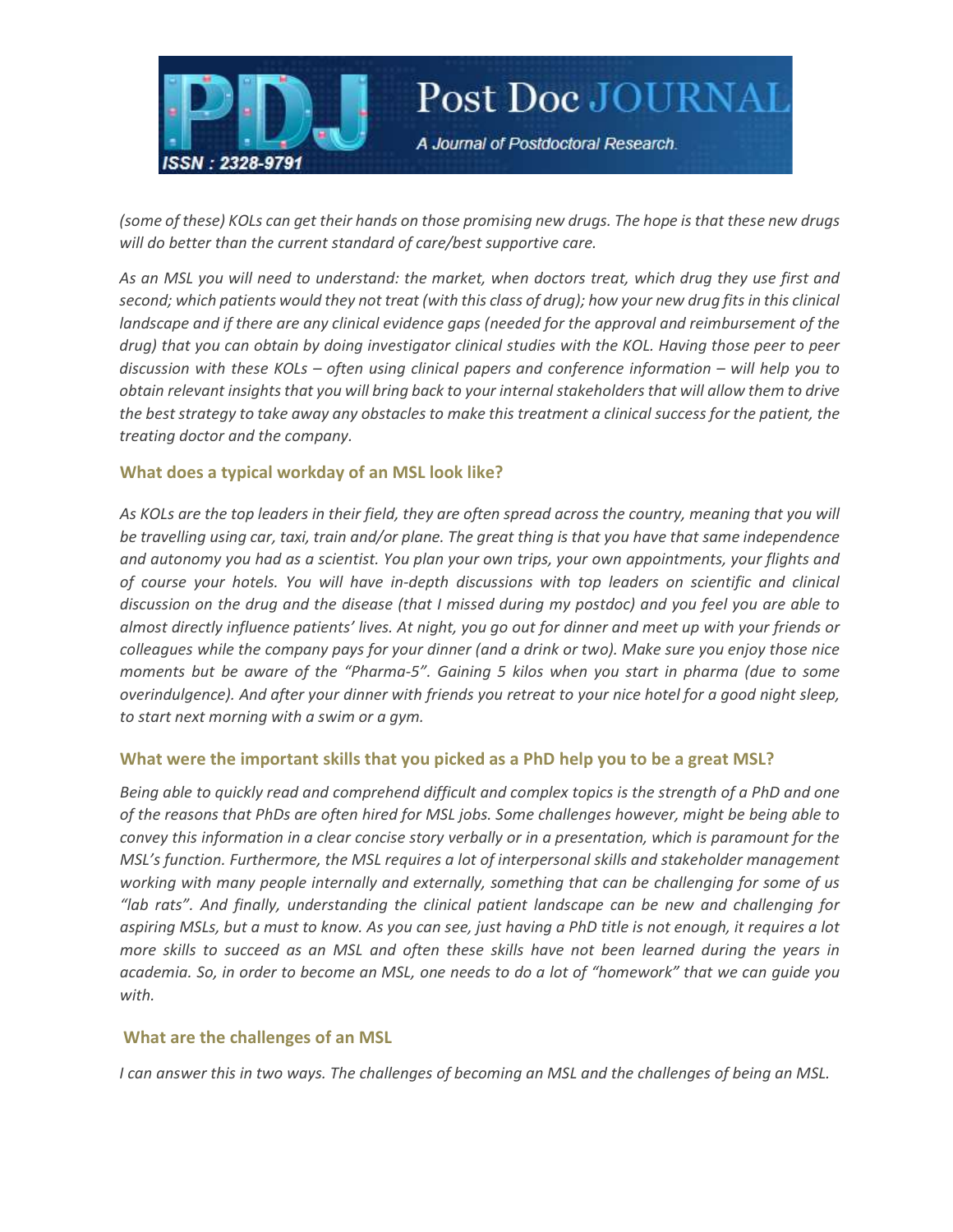

(some of these) KOLs can get their hands on those promising new drugs. The hope is that these new drugs will do better than the current standard of care/best supportive care.

Post Doc JOURNAL

A Journal of Postdoctoral Research.

As an MSL you will need to understand: the market, when doctors treat, which drug they use first and second; which patients would they not treat (with this class of drug); how your new drug fits in this clinical landscape and if there are any clinical evidence gaps (needed for the approval and reimbursement of the drug) that you can obtain by doing investigator clinical studies with the KOL. Having those peer to peer discussion with these KOLs – often using clinical papers and conference information – will help you to obtain relevant insights that you will bring back to your internal stakeholders that will allow them to drive the best strategy to take away any obstacles to make this treatment a clinical success for the patient, the treating doctor and the company.

#### What does a typical workday of an MSL look like?

As KOLs are the top leaders in their field, they are often spread across the country, meaning that you will be travelling using car, taxi, train and/or plane. The great thing is that you have that same independence and autonomy you had as a scientist. You plan your own trips, your own appointments, your flights and of course your hotels. You will have in-depth discussions with top leaders on scientific and clinical discussion on the drug and the disease (that I missed during my postdoc) and you feel you are able to almost directly influence patients' lives. At night, you go out for dinner and meet up with your friends or colleagues while the company pays for your dinner (and a drink or two). Make sure you enjoy those nice moments but be aware of the "Pharma-5". Gaining 5 kilos when you start in pharma (due to some overindulgence). And after your dinner with friends you retreat to your nice hotel for a good night sleep, to start next morning with a swim or a gym.

#### What were the important skills that you picked as a PhD help you to be a great MSL?

Being able to quickly read and comprehend difficult and complex topics is the strength of a PhD and one of the reasons that PhDs are often hired for MSL jobs. Some challenges however, might be being able to convey this information in a clear concise story verbally or in a presentation, which is paramount for the MSL's function. Furthermore, the MSL requires a lot of interpersonal skills and stakeholder management working with many people internally and externally, something that can be challenging for some of us "lab rats". And finally, understanding the clinical patient landscape can be new and challenging for aspiring MSLs, but a must to know. As you can see, just having a PhD title is not enough, it requires a lot more skills to succeed as an MSL and often these skills have not been learned during the years in academia. So, in order to become an MSL, one needs to do a lot of "homework" that we can guide you with.

#### What are the challenges of an MSL

I can answer this in two ways. The challenges of becoming an MSL and the challenges of being an MSL.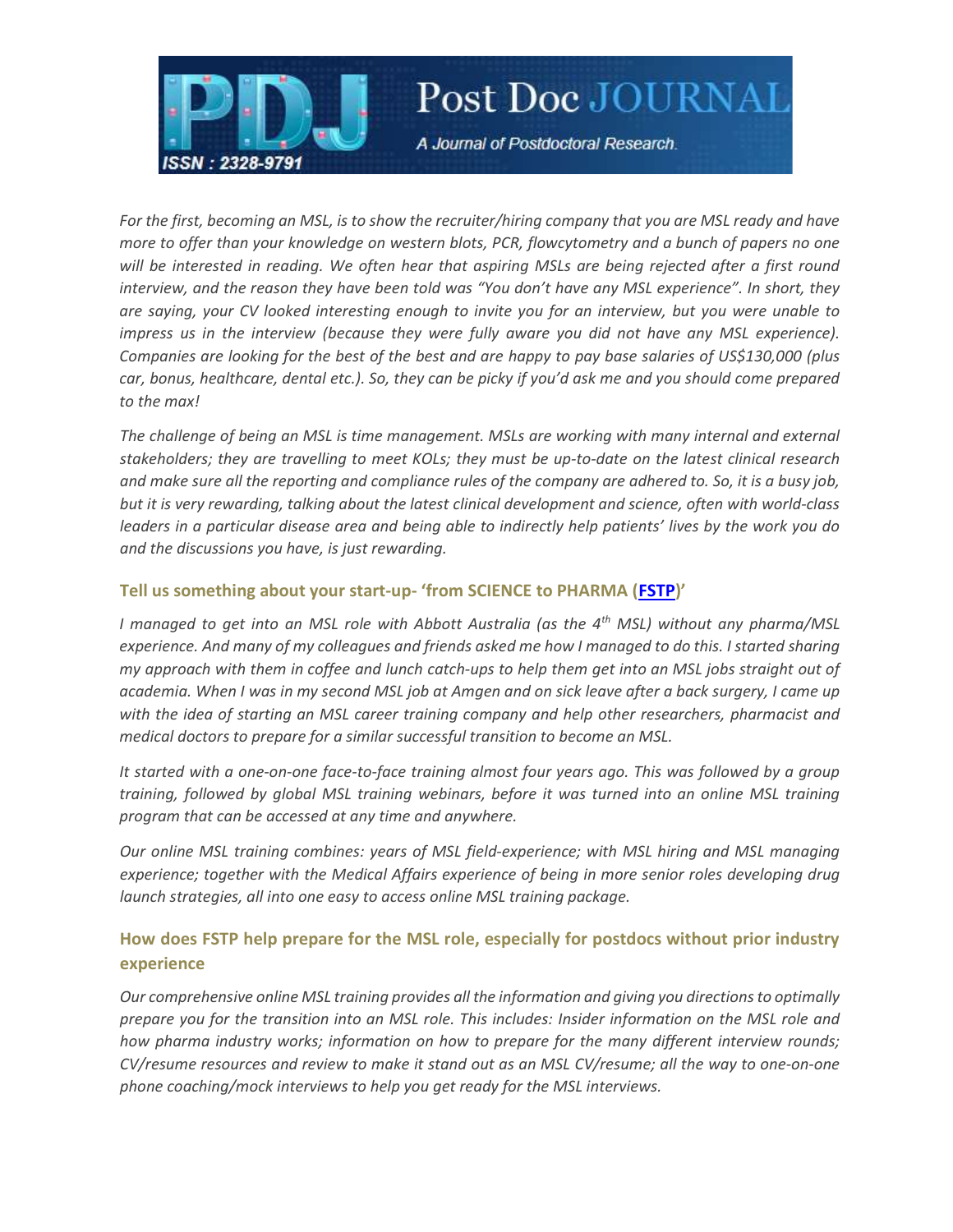

# Post Doc JOURNAL

A Journal of Postdoctoral Research.

For the first, becoming an MSL, is to show the recruiter/hiring company that you are MSL ready and have more to offer than your knowledge on western blots, PCR, flowcytometry and a bunch of papers no one will be interested in reading. We often hear that aspiring MSLs are being rejected after a first round interview, and the reason they have been told was "You don't have any MSL experience". In short, they are saying, your CV looked interesting enough to invite you for an interview, but you were unable to impress us in the interview (because they were fully aware you did not have any MSL experience). Companies are looking for the best of the best and are happy to pay base salaries of US\$130,000 (plus car, bonus, healthcare, dental etc.). So, they can be picky if you'd ask me and you should come prepared to the max!

The challenge of being an MSL is time management. MSLs are working with many internal and external stakeholders; they are travelling to meet KOLs; they must be up-to-date on the latest clinical research and make sure all the reporting and compliance rules of the company are adhered to. So, it is a busy job, but it is very rewarding, talking about the latest clinical development and science, often with world-class leaders in a particular disease area and being able to indirectly help patients' lives by the work you do and the discussions you have, is just rewarding.

### Tell us something about your start-up- 'from SCIENCE to PHARMA (FSTP)'

I managed to get into an MSL role with Abbott Australia (as the  $4<sup>th</sup>$  MSL) without any pharma/MSL experience. And many of my colleagues and friends asked me how I managed to do this. I started sharing my approach with them in coffee and lunch catch-ups to help them get into an MSL jobs straight out of academia. When I was in my second MSL job at Amgen and on sick leave after a back surgery, I came up with the idea of starting an MSL career training company and help other researchers, pharmacist and medical doctors to prepare for a similar successful transition to become an MSL.

It started with a one-on-one face-to-face training almost four years ago. This was followed by a group training, followed by global MSL training webinars, before it was turned into an online MSL training program that can be accessed at any time and anywhere.

Our online MSL training combines: years of MSL field-experience; with MSL hiring and MSL managing experience; together with the Medical Affairs experience of being in more senior roles developing drug launch strategies, all into one easy to access online MSL training package.

## How does FSTP help prepare for the MSL role, especially for postdocs without prior industry experience

Our comprehensive online MSL training provides all the information and giving you directions to optimally prepare you for the transition into an MSL role. This includes: Insider information on the MSL role and how pharma industry works; information on how to prepare for the many different interview rounds; CV/resume resources and review to make it stand out as an MSL CV/resume; all the way to one-on-one phone coaching/mock interviews to help you get ready for the MSL interviews.